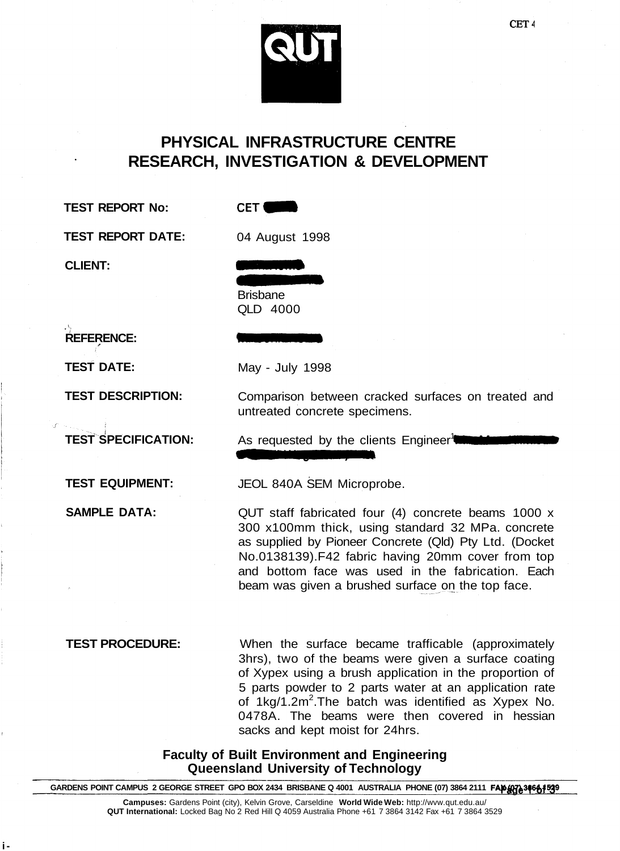

# **PHYSICAL INFRASTRUCTURE CENTRE RESEARCH, INVESTIGATION & DEVELOPMENT**

**TEST REPORT No:**

**CET** 

**TEST REPORT DATE:**

04 August 1998

**CLIENT:**

Brisbane QLD 4000

May - July 1998

**REFERENCE:**

**TEST DATE:**

**TEST DESCRIPTION:**

**TEST SPECIFICATION:**

**TEST EQUIPMENT:**

**SAMPLE DATA:**

Comparison between cracked surfaces on treated and untreated concrete specimens.

As requested by the clients Engineer<sup>1</sup>

JEOL 840A SEM Microprobe.

QUT staff fabricated four (4) concrete beams 1000 x 300 x100mm thick, using standard 32 MPa. concrete as supplied by Pioneer Concrete (Qld) Pty Ltd. (Docket No.0138139).F42 fabric having 20mm cover from top and bottom face was used in the fabrication. Each beam was given a brushed surface on the top face.

**i-**

**TEST PROCEDURE:** When the surface became trafficable (approximately 3hrs), two of the beams were given a surface coating of Xypex using a brush application in the proportion of 5 parts powder to 2 parts water at an application rate of 1kg/1.2m<sup>2</sup>. The batch was identified as Xypex No. 0478A. The beams were then covered in hessian sacks and kept moist for 24hrs.

> **Faculty of Built Environment and Engineering Queensland University of Technology**

GARDENS POINT CAMPUS 2 GEORGE STREET GPO BOX 2434 BRISBANE Q 4001 AUSTRALIA PHONE (07) 3864 2111 **FAP476 3466 1539** 

**Campuses:** Gardens Point (city), Kelvin Grove, Carseldine **World Wide Web:** http://wvw.qut.edu.au/ **QUT International:** Locked Bag No 2 Red Hill Q 4059 Australia Phone +61 7 3864 3142 Fax +61 7 3864 3529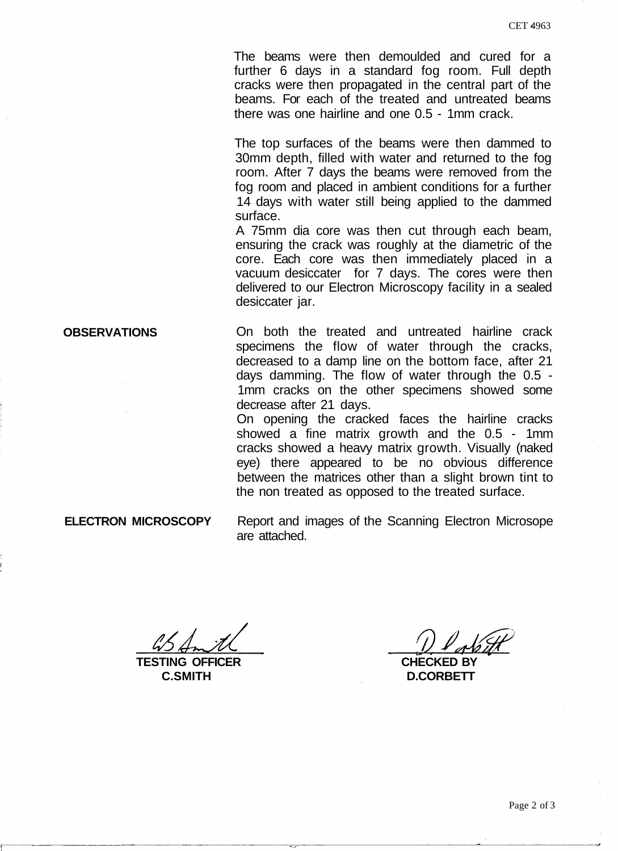The beams were then demoulded and cured for a further 6 days in a standard fog room. Full depth cracks were then propagated in the central part of the beams. For each of the treated and untreated beams there was one hairline and one 0.5 - 1mm crack.

The top surfaces of the beams were then dammed to 30mm depth, filled with water and returned to the fog room. After 7 days the beams were removed from the fog room and placed in ambient conditions for a further 14 days with water still being applied to the dammed surface.

A 75mm dia core was then cut through each beam, ensuring the crack was roughly at the diametric of the core. Each core was then immediately placed in a vacuum desiccater for 7 days. The cores were then delivered to our Electron Microscopy facility in a sealed desiccater jar.

On both the treated and untreated hairline crack specimens the flow of water through the cracks, decreased to a damp line on the bottom face, after 21 days damming. The flow of water through the 0.5 - 1mm cracks on the other specimens showed some decrease after 21 days.

On opening the cracked faces the hairline cracks showed a fine matrix growth and the 0.5 - 1mm cracks showed a heavy matrix growth. Visually (naked eye) there appeared to be no obvious difference between the matrices other than a slight brown tint to the non treated as opposed to the treated surface.

**ELECTRON MICROSCOPY**

**OBSERVATIONS**

Report and images of the Scanning Electron Microsope are attached.

**TESTING OFFICER C.SMITH**

**CHECKED BY**

**D.CORBETT**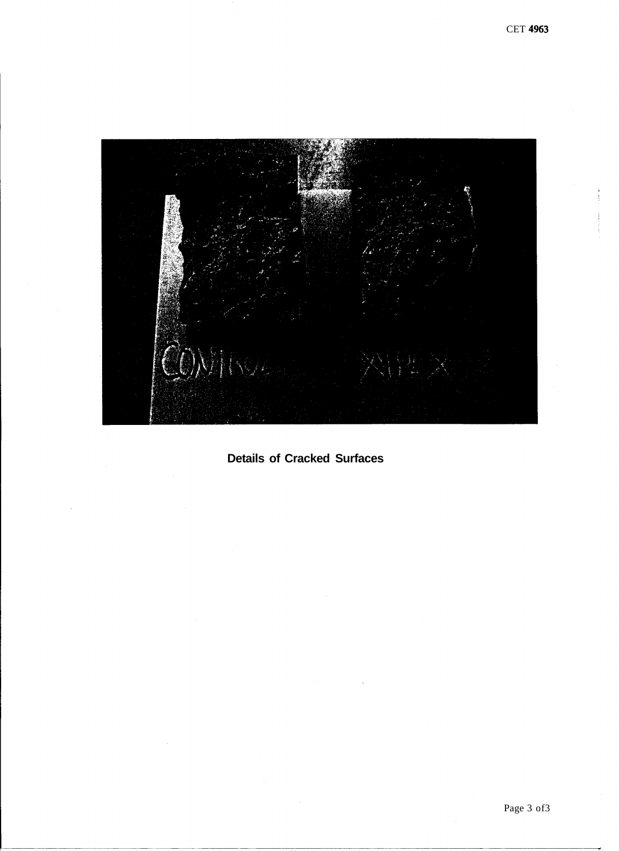

**Details of Cracked Surfaces**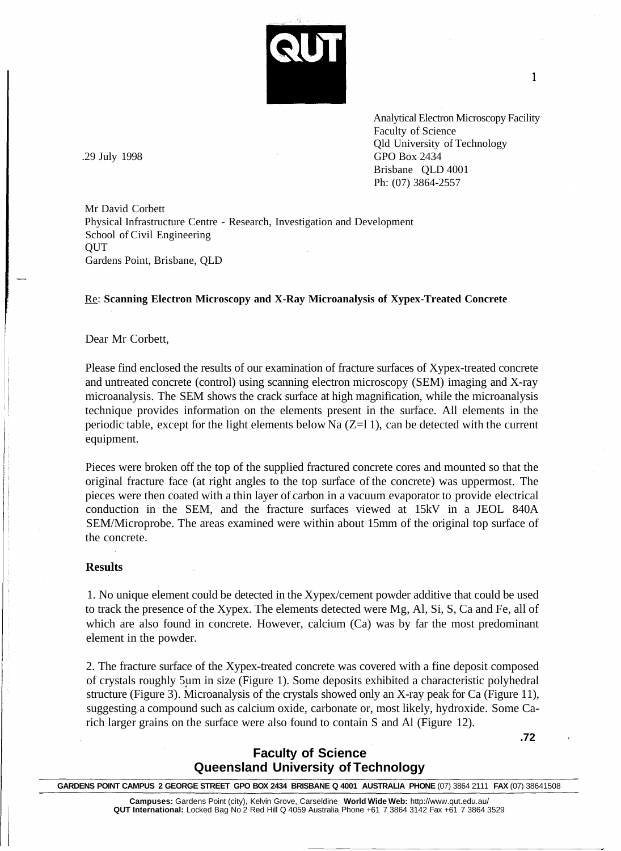

 $\mathbf{1}$ 

Analytical Electron Microscopy Facility Faculty of Science Qld University of Technology .29 July 1998 GPO Box 2434 Brisbane QLD 4001 Ph: (07) 3864-2557

Mr David Corbett Physical Infrastructure Centre - Research, Investigation and Development School of Civil Engineering QUT Gardens Point, Brisbane, QLD

### Re: **Scanning Electron Microscopy and X-Ray Microanalysis of Xypex-Treated Concrete**

## Dear Mr Corbett,

Please find enclosed the results of our examination of fracture surfaces of Xypex-treated concrete and untreated concrete (control) using scanning electron microscopy (SEM) imaging and X-ray microanalysis. The SEM shows the crack surface at high magnification, while the microanalysis technique provides information on the elements present in the surface. All elements in the periodic table, except for the light elements below Na  $(Z=11)$ , can be detected with the current equipment.

Pieces were broken off the top of the supplied fractured concrete cores and mounted so that the original fracture face (at right angles to the top surface of the concrete) was uppermost. The pieces were then coated with a thin layer of carbon in a vacuum evaporator to provide electrical conduction in the SEM, and the fracture surfaces viewed at 15kV in a JEOL 840A SEM/Microprobe. The areas examined were within about 15mm of the original top surface of the concrete.

#### **Results**

1. No unique element could be detected in the Xypex/cement powder additive that could be used to track the presence of the Xypex. The elements detected were Mg, Al, Si, S, Ca and Fe, all of which are also found in concrete. However, calcium (Ca) was by far the most predominant element in the powder.

2. The fracture surface of the Xypex-treated concrete was covered with a fine deposit composed of crystals roughly 5um in size (Figure 1). Some deposits exhibited a characteristic polyhedral structure (Figure 3). Microanalysis of the crystals showed only an X-ray peak for Ca (Figure 11), suggesting a compound such as calcium oxide, carbonate or, most likely, hydroxide. Some Carich larger grains on the surface were also found to contain S and Al (Figure 12).

**.72**

# **Faculty of Science Queensland University of Technology**

**GARDENS POINT CAMPUS 2 GEORGE STREET GPO BOX 2434 BRISBANE Q 4001 AUSTRALIA PHONE** (07) 3864 2111 **FAX** (07) 38641508

**Campuses:** Gardens Point (city), Kelvin Grove, Carseldine **World Wide Web:** http://www.qut.edu.au/ **QUT International:** Locked Bag No 2 Red Hill Q 4059 Australia Phone +61 7 3864 3142 Fax +61 7 3864 3529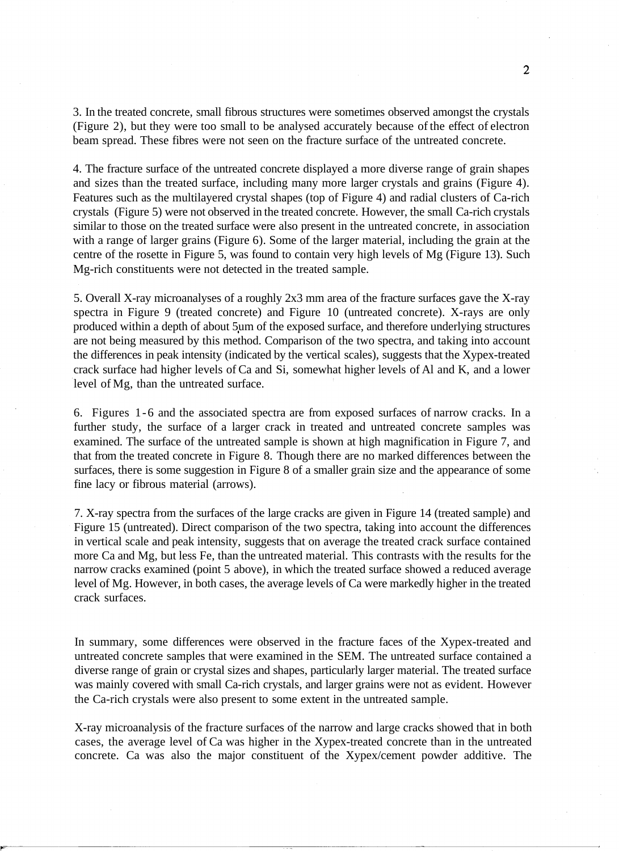3. In the treated concrete, small fibrous structures were sometimes observed amongst the crystals (Figure 2), but they were too small to be analysed accurately because of the effect of electron beam spread. These fibres were not seen on the fracture surface of the untreated concrete.

4. The fracture surface of the untreated concrete displayed a more diverse range of grain shapes and sizes than the treated surface, including many more larger crystals and grains (Figure 4). Features such as the multilayered crystal shapes (top of Figure 4) and radial clusters of Ca-rich crystals (Figure 5) were not observed in the treated concrete. However, the small Ca-rich crystals similar to those on the treated surface were also present in the untreated concrete, in association with a range of larger grains (Figure 6). Some of the larger material, including the grain at the centre of the rosette in Figure 5, was found to contain very high levels of Mg (Figure 13). Such Mg-rich constituents were not detected in the treated sample.

5. Overall X-ray microanalyses of a roughly 2x3 mm area of the fracture surfaces gave the X-ray spectra in Figure 9 (treated concrete) and Figure 10 (untreated concrete). X-rays are only produced within a depth of about 5um of the exposed surface, and therefore underlying structures are not being measured by this method. Comparison of the two spectra, and taking into account the differences in peak intensity (indicated by the vertical scales), suggests that the Xypex-treated crack surface had higher levels of Ca and Si, somewhat higher levels of Al and K, and a lower level of Mg, than the untreated surface.

6. Figures 1-6 and the associated spectra are from exposed surfaces of narrow cracks. In a further study, the surface of a larger crack in treated and untreated concrete samples was examined. The surface of the untreated sample is shown at high magnification in Figure 7, and that from the treated concrete in Figure 8. Though there are no marked differences between the surfaces, there is some suggestion in Figure 8 of a smaller grain size and the appearance of some fine lacy or fibrous material (arrows).

7. X-ray spectra from the surfaces of the large cracks are given in Figure 14 (treated sample) and Figure 15 (untreated). Direct comparison of the two spectra, taking into account the differences in vertical scale and peak intensity, suggests that on average the treated crack surface contained more Ca and Mg, but less Fe, than the untreated material. This contrasts with the results for the narrow cracks examined (point 5 above), in which the treated surface showed a reduced average level of Mg. However, in both cases, the average levels of Ca were markedly higher in the treated crack surfaces.

In summary, some differences were observed in the fracture faces of the Xypex-treated and untreated concrete samples that were examined in the SEM. The untreated surface contained a diverse range of grain or crystal sizes and shapes, particularly larger material. The treated surface was mainly covered with small Ca-rich crystals, and larger grains were not as evident. However the Ca-rich crystals were also present to some extent in the untreated sample.

X-ray microanalysis of the fracture surfaces of the narrow and large cracks showed that in both cases, the average level of Ca was higher in the Xypex-treated concrete than in the untreated concrete. Ca was also the major constituent of the Xypex/cement powder additive. The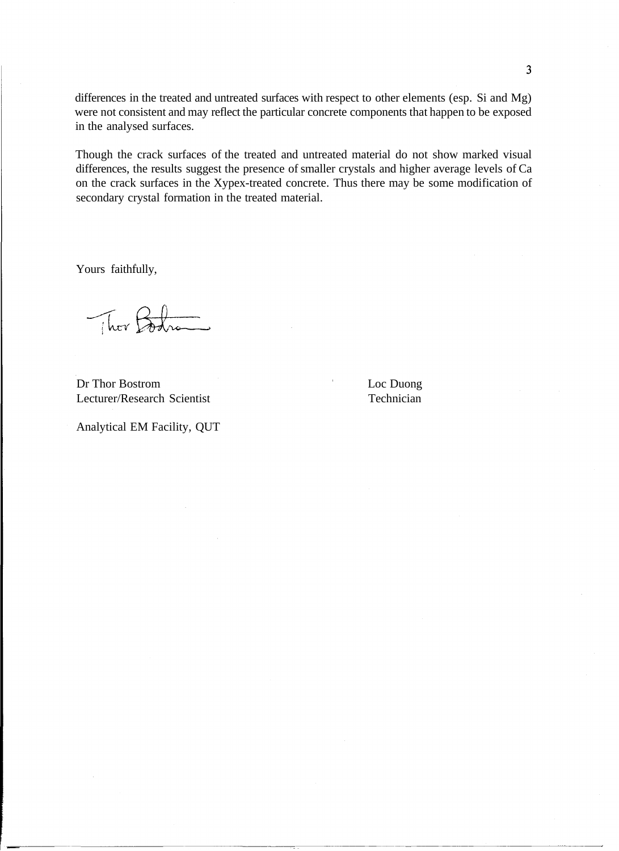differences in the treated and untreated surfaces with respect to other elements (esp. Si and Mg) were not consistent and may reflect the particular concrete components that happen to be exposed in the analysed surfaces.

Though the crack surfaces of the treated and untreated material do not show marked visual differences, the results suggest the presence of smaller crystals and higher average levels of Ca on the crack surfaces in the Xypex-treated concrete. Thus there may be some modification of secondary crystal formation in the treated material.

Yours faithfully,

They Body

Dr Thor Bostrom Loc Duong Lecturer/Research Scientist Technician

Analytical EM Facility, QUT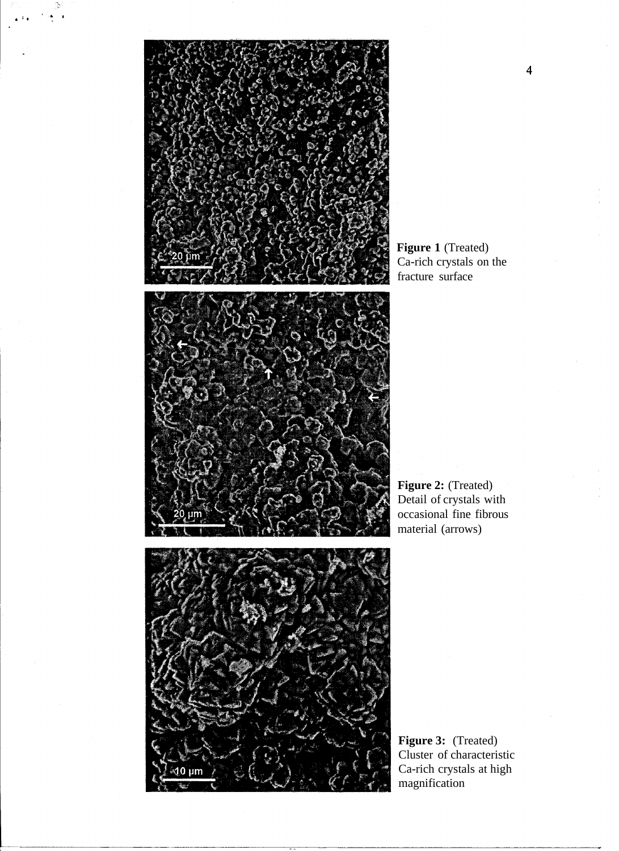

**Figure 1** (Treated) Ca-rich crystals on the fracture surface



**Figure 2:** (Treated) Detail of crystals with occasional fine fibrous material (arrows)



**Figure 3:** (Treated) Cluster of characteristic Ca-rich crystals at high magnification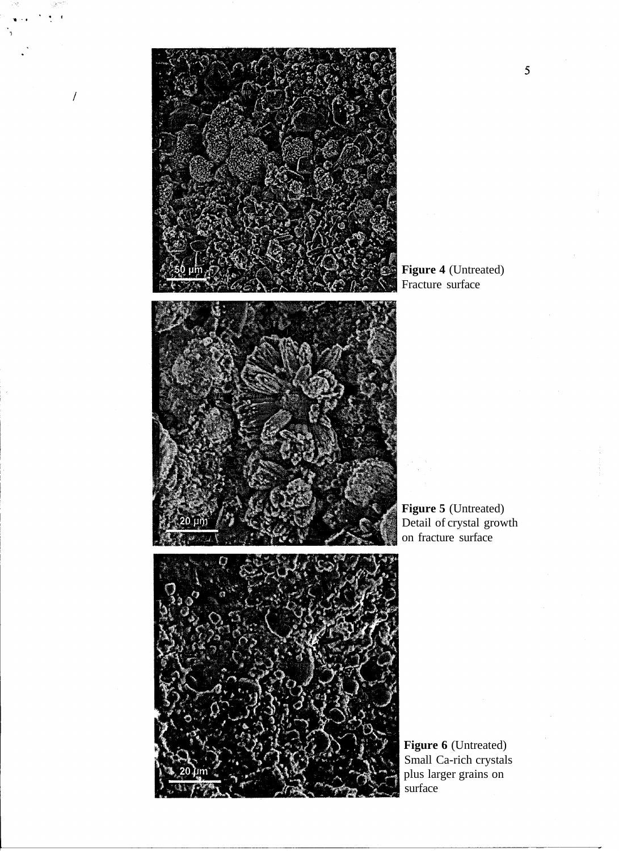

 $\overline{I}$ 





**Figure 5** (Untreated) Detail of crystal growth on fracture surface



**Figure 6** (Untreated) Small Ca-rich crystals plus larger grains on surface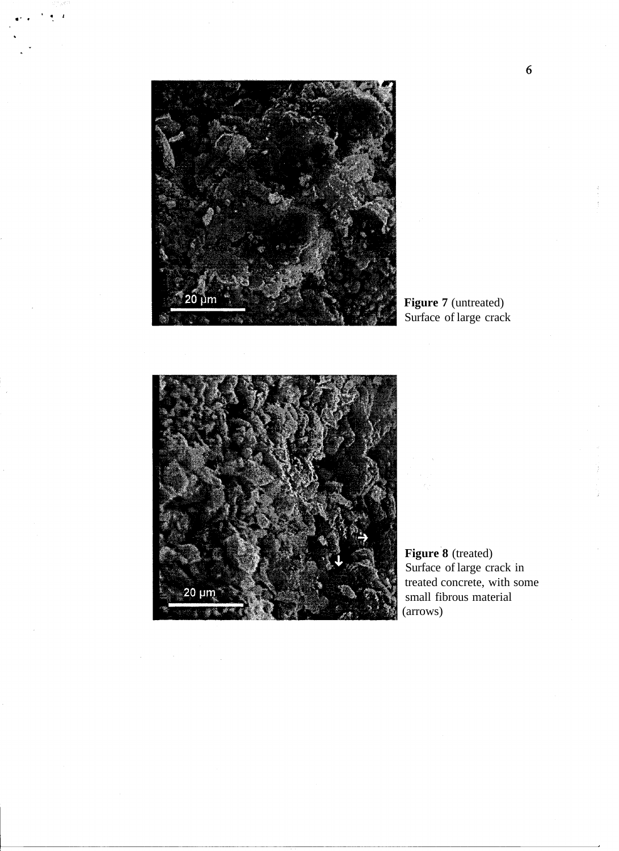

**Figure 7** (untreated) Surface of large crack



**Figure 8** (treated) Surface of large crack in treated concrete, with some small fibrous material (arrows)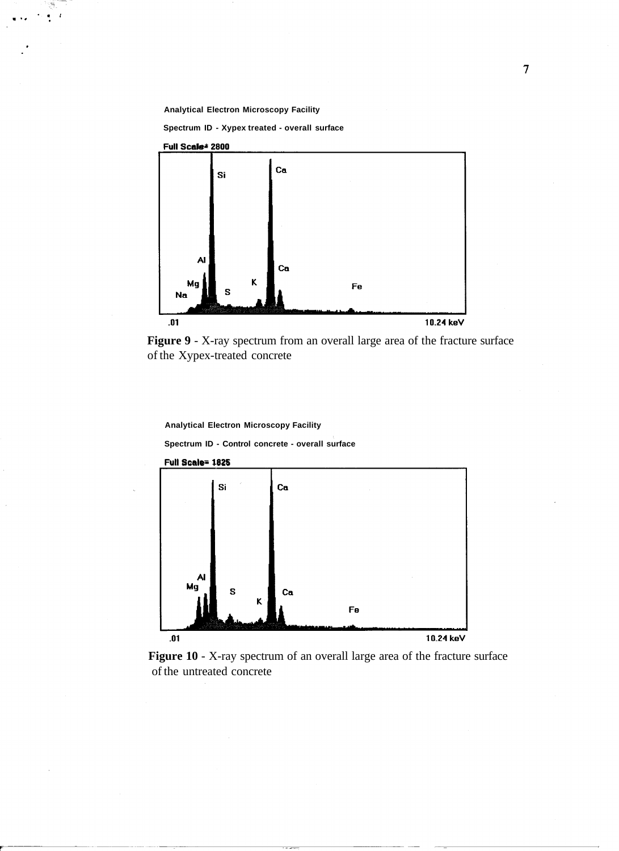**Analytical Electron Microscopy Facility**

**Spectrum ID - Xypex treated - overall surface**



**Figure 9** - X-ray spectrum from an overall large area of the fracture surface of the Xypex-treated concrete

**Analytical Electron Microscopy Facility**

**Spectrum ID - Control concrete - overall surface**



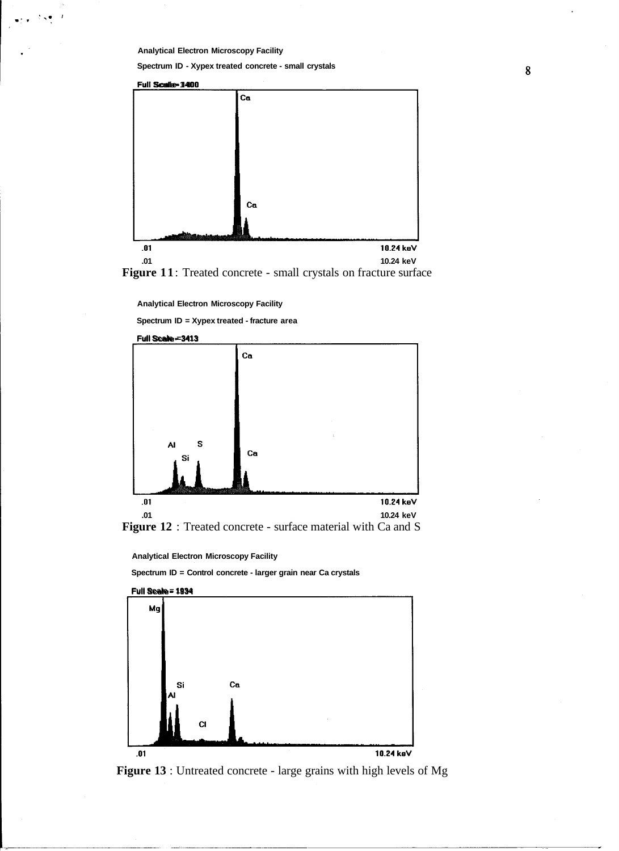**Analytical Electron Microscopy Facility**

 $\lambda$ 

**Spectrum ID - Xypex treated concrete - small crystals**





**Analytical Electron Microscopy Facility**

**Spectrum ID = Xypex treated - fracture area**





**Analytical Electron Microscopy Facility**

**Spectrum ID = Control concrete - larger grain near Ca crystals**